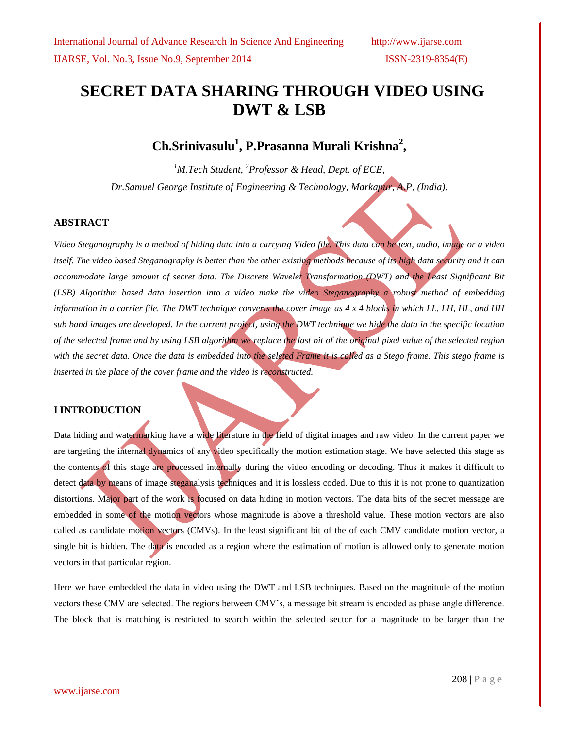# **SECRET DATA SHARING THROUGH VIDEO USING DWT & LSB**

## **Ch.Srinivasulu<sup>1</sup> , P.Prasanna Murali Krishna<sup>2</sup> ,**

*<sup>1</sup>M.Tech Student, <sup>2</sup>Professor & Head, Dept. of ECE, Dr.Samuel George Institute of Engineering & Technology, Markapur, A.P, (India).*

### **ABSTRACT**

*Video Steganography is a method of hiding data into a carrying Video file. This data can be text, audio, image or a video itself. The video based Steganography is better than the other existing methods because of its high data security and it can accommodate large amount of secret data. The Discrete Wavelet Transformation (DWT) and the Least Significant Bit (LSB) Algorithm based data insertion into a video make the video Steganography a robust method of embedding information in a carrier file. The DWT technique converts the cover image as 4 x 4 blocks in which LL, LH, HL, and HH sub band images are developed. In the current project, using the DWT technique we hide the data in the specific location of the selected frame and by using LSB algorithm we replace the last bit of the original pixel value of the selected region with the secret data. Once the data is embedded into the seleted Frame it is called as a Stego frame. This stego frame is inserted in the place of the cover frame and the video is reconstructed.*

#### **I INTRODUCTION**

Data hiding and watermarking have a wide literature in the field of digital images and raw video. In the current paper we are targeting the internal dynamics of any video specifically the motion estimation stage. We have selected this stage as the contents of this stage are processed internally during the video encoding or decoding. Thus it makes it difficult to detect data by means of image steganalysis techniques and it is lossless coded. Due to this it is not prone to quantization distortions. Major part of the work is focused on data hiding in motion vectors. The data bits of the secret message are embedded in some of the motion vectors whose magnitude is above a threshold value. These motion vectors are also called as candidate motion vectors (CMVs). In the least significant bit of the of each CMV candidate motion vector, a single bit is hidden. The data is encoded as a region where the estimation of motion is allowed only to generate motion vectors in that particular region.

Here we have embedded the data in video using the DWT and LSB techniques. Based on the magnitude of the motion vectors these CMV are selected. The regions between CMV's, a message bit stream is encoded as phase angle difference. The block that is matching is restricted to search within the selected sector for a magnitude to be larger than the

l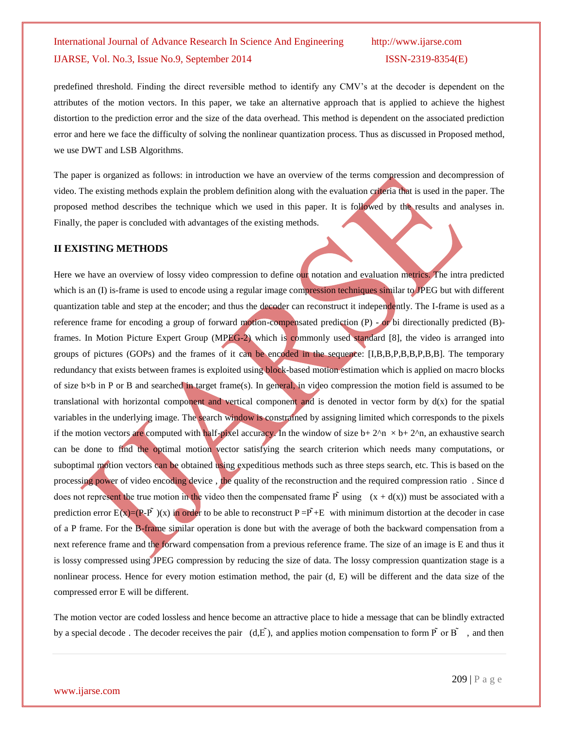predefined threshold. Finding the direct reversible method to identify any CMV's at the decoder is dependent on the attributes of the motion vectors. In this paper, we take an alternative approach that is applied to achieve the highest distortion to the prediction error and the size of the data overhead. This method is dependent on the associated prediction error and here we face the difficulty of solving the nonlinear quantization process. Thus as discussed in Proposed method, we use DWT and LSB Algorithms.

The paper is organized as follows: in introduction we have an overview of the terms compression and decompression of video. The existing methods explain the problem definition along with the evaluation criteria that is used in the paper. The proposed method describes the technique which we used in this paper. It is followed by the results and analyses in. Finally, the paper is concluded with advantages of the existing methods.

#### **II EXISTING METHODS**

Here we have an overview of lossy video compression to define our notation and evaluation metrics. The intra predicted which is an  $(I)$  is-frame is used to encode using a regular image compression techniques similar to JPEG but with different quantization table and step at the encoder; and thus the decoder can reconstruct it independently. The I-frame is used as a reference frame for encoding a group of forward motion-compensated prediction (P) - or bi directionally predicted (B)frames. In Motion Picture Expert Group (MPEG-2) which is commonly used standard [8], the video is arranged into groups of pictures (GOPs) and the frames of it can be encoded in the sequence: [I,B,B,P,B,B,P,B,B]. The temporary redundancy that exists between frames is exploited using block-based motion estimation which is applied on macro blocks of size b×b in P or B and searched in target frame(s). In general, in video compression the motion field is assumed to be translational with horizontal component and vertical component and is denoted in vector form by  $d(x)$  for the spatial variables in the underlying image. The search window is constrained by assigning limited which corresponds to the pixels if the motion vectors are computed with half-pixel accuracy. In the window of size  $b+2^n \times b+2^n$ , an exhaustive search can be done to find the optimal motion vector satisfying the search criterion which needs many computations, or suboptimal motion vectors can be obtained using expeditious methods such as three steps search, etc. This is based on the processing power of video encoding device, the quality of the reconstruction and the required compression ratio. Since d does not represent the true motion in the video then the compensated frame  $\tilde{P}$  using  $(x + d(x))$  must be associated with a prediction error  $E(x)=(P-F)(x)$  in order to be able to reconstruct  $P-F+E$  with minimum distortion at the decoder in case of a P frame. For the B-frame similar operation is done but with the average of both the backward compensation from a next reference frame and the forward compensation from a previous reference frame. The size of an image is E and thus it is lossy compressed using JPEG compression by reducing the size of data. The lossy compression quantization stage is a nonlinear process. Hence for every motion estimation method, the pair (d, E) will be different and the data size of the compressed error E will be different.

The motion vector are coded lossless and hence become an attractive place to hide a message that can be blindly extracted by a special decode. The decoder receives the pair  $(d,\tilde{E})$ , and applies motion compensation to form  $\tilde{P}$  or  $\tilde{B}$ , and then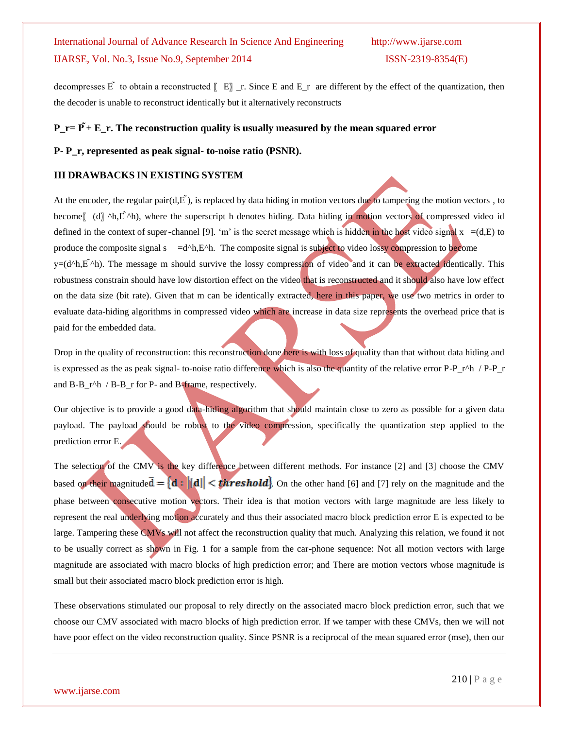decompresses  $\tilde{E}$  to obtain a reconstructed  $[[E]$  \_r. Since E and E\_r are different by the effect of the quantization, then the decoder is unable to reconstruct identically but it alternatively reconstructs

### $P_T = \tilde{P} + E_T$ . The reconstruction quality is usually measured by the mean squared error

#### **P- P\_r, represented as peak signal- to-noise ratio (PSNR).**

#### **III DRAWBACKS IN EXISTING SYSTEM**

At the encoder, the regular pair( $d, \vec{E}$ ), is replaced by data hiding in motion vectors due to tampering the motion vectors, to become<sup> $\left[$ </sup> (d) ^h, E<sup> $\lambda$ </sup>h), where the superscript h denotes hiding. Data hiding in motion vectors of compressed video id defined in the context of super-channel [9]. 'm' is the secret message which is hidden in the host video signal  $x = (d,E)$  to produce the composite signal s  $=d^h$ ,E<sup> $h$ </sup>. The composite signal is subject to video lossy compression to become  $y=(d^h,h,\vec{E}^h)$ . The message m should survive the lossy compression of video and it can be extracted identically. This robustness constrain should have low distortion effect on the video that is reconstructed and it should also have low effect on the data size (bit rate). Given that m can be identically extracted, here in this paper, we use two metrics in order to evaluate data-hiding algorithms in compressed video which are increase in data size represents the overhead price that is paid for the embedded data.

Drop in the quality of reconstruction: this reconstruction done here is with loss of quality than that without data hiding and is expressed as the as peak signal- to-noise ratio difference which is also the quantity of the relative error P-P\_r^h / P-P\_r and B-B\_r^h / B-B\_r for P- and B-frame, respectively.

Our objective is to provide a good data-hiding algorithm that should maintain close to zero as possible for a given data payload. The payload should be robust to the video compression, specifically the quantization step applied to the prediction error E.

The selection of the CMV is the key difference between different methods. For instance [2] and [3] choose the CMV based on their magnitude  $\bar{d} = \{d : ||d|| < th$ reshold. On the other hand [6] and [7] rely on the magnitude and the phase between consecutive motion vectors. Their idea is that motion vectors with large magnitude are less likely to represent the real underlying motion accurately and thus their associated macro block prediction error E is expected to be large. Tampering these CMVs will not affect the reconstruction quality that much. Analyzing this relation, we found it not to be usually correct as shown in Fig. 1 for a sample from the car-phone sequence: Not all motion vectors with large magnitude are associated with macro blocks of high prediction error; and There are motion vectors whose magnitude is small but their associated macro block prediction error is high.

These observations stimulated our proposal to rely directly on the associated macro block prediction error, such that we choose our CMV associated with macro blocks of high prediction error. If we tamper with these CMVs, then we will not have poor effect on the video reconstruction quality. Since PSNR is a reciprocal of the mean squared error (mse), then our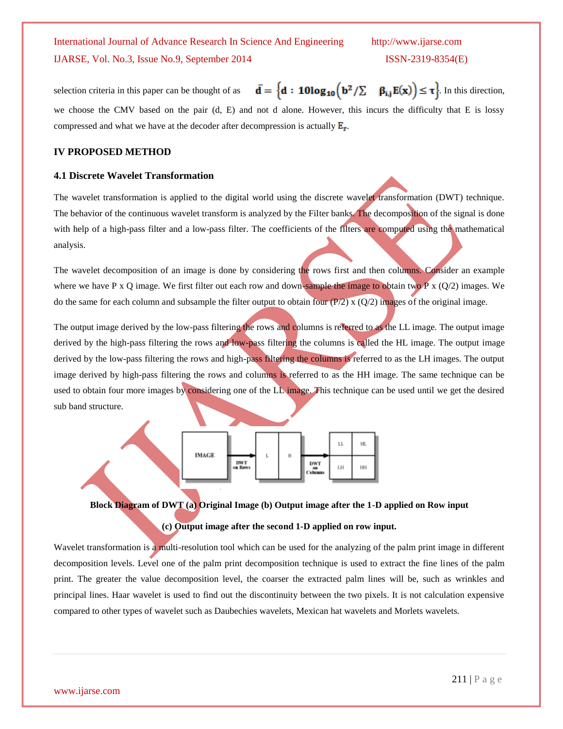selection criteria in this paper can be thought of as  $\mathbf{\bar{d}} = \left\{ \mathbf{d} : \mathbf{10log_{10}} \left( \mathbf{b}^2 / \Sigma - \beta_{i,j} E(\mathbf{x}) \right) \leq \tau \right\}$ . In this direction, we choose the CMV based on the pair (d, E) and not d alone. However, this incurs the difficulty that E is lossy compressed and what we have at the decoder after decompression is actually  $E_r$ .

#### **IV PROPOSED METHOD**

#### **4.1 Discrete Wavelet Transformation**

The wavelet transformation is applied to the digital world using the discrete wavelet transformation (DWT) technique. The behavior of the continuous wavelet transform is analyzed by the Filter banks. The decomposition of the signal is done with help of a high-pass filter and a low-pass filter. The coefficients of the filters are computed using the mathematical analysis.

The wavelet decomposition of an image is done by considering the rows first and then columns. Consider an example where we have P x Q image. We first filter out each row and down-sample the image to obtain two P x  $(Q/2)$  images. We do the same for each column and subsample the filter output to obtain four  $(P/2)$  x  $(Q/2)$  images of the original image.

The output image derived by the low-pass filtering the rows and columns is referred to as the LL image. The output image derived by the high-pass filtering the rows and low-pass filtering the columns is called the HL image. The output image derived by the low-pass filtering the rows and high-pass filtering the columns is referred to as the LH images. The output image derived by high-pass filtering the rows and columns is referred to as the HH image. The same technique can be used to obtain four more images by considering one of the LL image. This technique can be used until we get the desired sub band structure.



**Block Diagram of DWT (a) Original Image (b) Output image after the 1-D applied on Row input** 

#### **(c) Output image after the second 1-D applied on row input.**

Wavelet transformation is a multi-resolution tool which can be used for the analyzing of the palm print image in different decomposition levels. Level one of the palm print decomposition technique is used to extract the fine lines of the palm print. The greater the value decomposition level, the coarser the extracted palm lines will be, such as wrinkles and principal lines. Haar wavelet is used to find out the discontinuity between the two pixels. It is not calculation expensive compared to other types of wavelet such as Daubechies wavelets, Mexican hat wavelets and Morlets wavelets.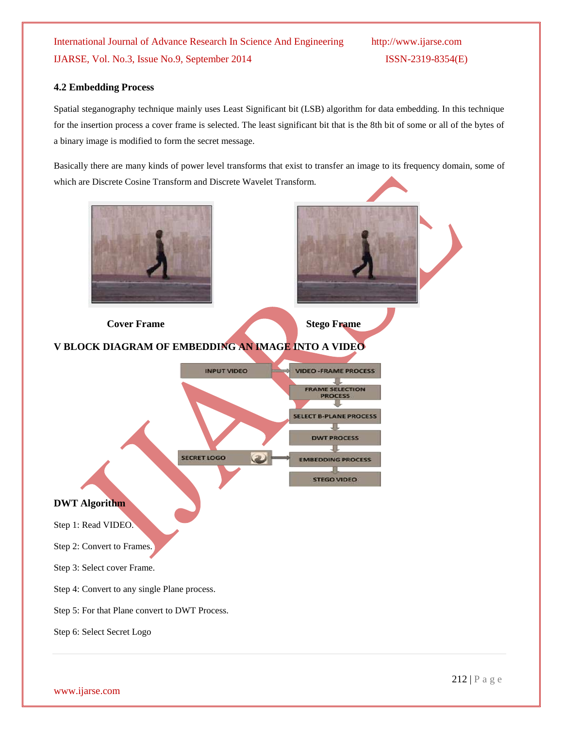#### **4.2 Embedding Process**

Spatial steganography technique mainly uses Least Significant bit (LSB) algorithm for data embedding. In this technique for the insertion process a cover frame is selected. The least significant bit that is the 8th bit of some or all of the bytes of a binary image is modified to form the secret message.

Basically there are many kinds of power level transforms that exist to transfer an image to its frequency domain, some of which are Discrete Cosine Transform and Discrete Wavelet Transform.

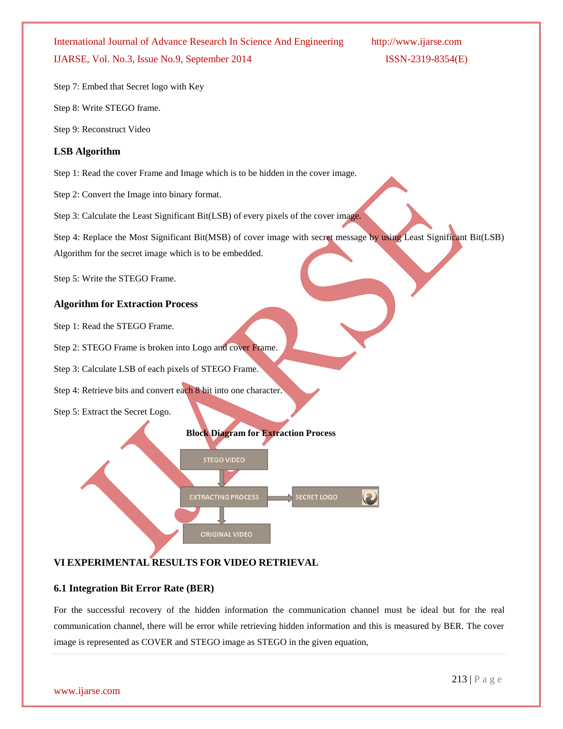Step 7: Embed that Secret logo with Key

Step 8: Write STEGO frame.

Step 9: Reconstruct Video

#### **LSB Algorithm**

Step 1: Read the cover Frame and Image which is to be hidden in the cover image.

Step 2: Convert the Image into binary format.

Step 3: Calculate the Least Significant Bit(LSB) of every pixels of the cover image.

Step 4: Replace the Most Significant Bit(MSB) of cover image with secret message by using Least Significant Bit(LSB)

Algorithm for the secret image which is to be embedded.

Step 5: Write the STEGO Frame.

### **Algorithm for Extraction Process**

Step 1: Read the STEGO Frame.

Step 2: STEGO Frame is broken into Logo and cover Frame.

Step 3: Calculate LSB of each pixels of STEGO Frame.

Step 4: Retrieve bits and convert each 8 bit into one character.

Step 5: Extract the Secret Logo.



### **VI EXPERIMENTAL RESULTS FOR VIDEO RETRIEVAL**

#### **6.1 Integration Bit Error Rate (BER)**

For the successful recovery of the hidden information the communication channel must be ideal but for the real communication channel, there will be error while retrieving hidden information and this is measured by BER. The cover image is represented as COVER and STEGO image as STEGO in the given equation,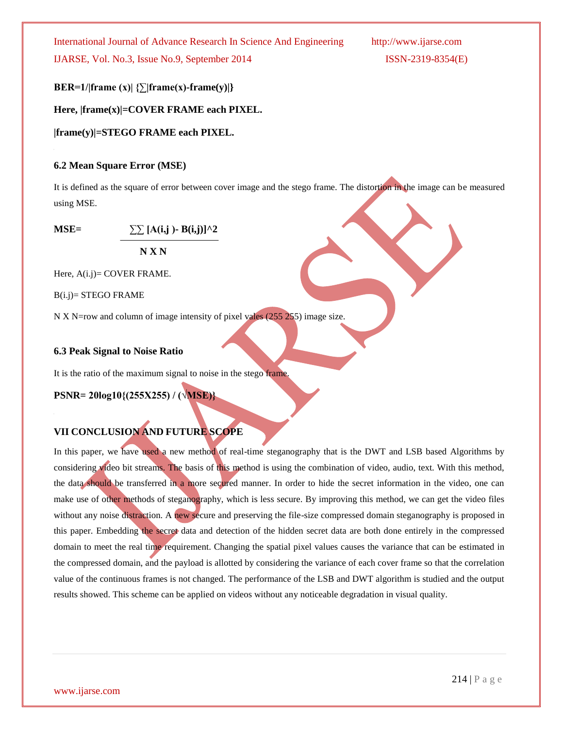**BER=1/|frame (x)| {∑|frame(x)-frame(y)|}**

**Here, |frame(x)|=COVER FRAME each PIXEL.**

**|frame(y)|=STEGO FRAME each PIXEL.**

#### **6.2 Mean Square Error (MSE)**

It is defined as the square of error between cover image and the stego frame. The distortion in the image can be measured using MSE.

**MSE=**  $\sum \ [A(i,j) - B(i,j)]^2$ 

 **N X N**

Here, A(i.j)= COVER FRAME.

B(i.j)= STEGO FRAME

N X N=row and column of image intensity of pixel vales (255 255) image size.

#### **6.3 Peak Signal to Noise Ratio**

It is the ratio of the maximum signal to noise in the stego frame.

**PSNR= 20log10{(255X255) / (√MSE)}**

## **VII CONCLUSION AND FUTURE SCOPE**

In this paper, we have used a new method of real-time steganography that is the DWT and LSB based Algorithms by considering video bit streams. The basis of this method is using the combination of video, audio, text. With this method, the data should be transferred in a more secured manner. In order to hide the secret information in the video, one can make use of other methods of steganography, which is less secure. By improving this method, we can get the video files without any noise distraction. A new secure and preserving the file-size compressed domain steganography is proposed in this paper. Embedding the secret data and detection of the hidden secret data are both done entirely in the compressed domain to meet the real time requirement. Changing the spatial pixel values causes the variance that can be estimated in the compressed domain, and the payload is allotted by considering the variance of each cover frame so that the correlation value of the continuous frames is not changed. The performance of the LSB and DWT algorithm is studied and the output results showed. This scheme can be applied on videos without any noticeable degradation in visual quality.